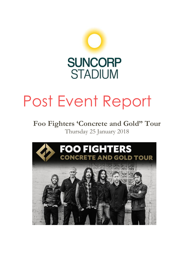

# Post Event Report

## **Foo Fighters 'Concrete and Gold" Tour** Thursday 25 January 2018

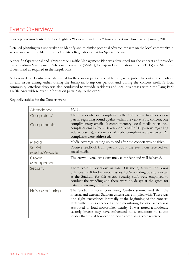## Event Overview

Suncorp Stadium hosted the Foo Fighters "Concrete and Gold" tour concert on Thursday 25 January 2018.

Detailed planning was undertaken to identify and minimise potential adverse impacts on the local community in accordance with the Major Sports Facilities Regulation 2014 for Special Events.

A specific Operational and Transport & Traffic Management Plan was developed for the concert and provided to the Stadium Management Advisory Committee (SMAC), Transport Coordination Group (TCG) and Stadiums Queensland as required in the Regulations.

A dedicated Call Centre was established for the concert period to enable the general public to contact the Stadium on any issues arising either during the bump-in, bump-out periods and during the concert itself. A local community letterbox drop was also conducted to provide residents and local businesses within the Lang Park Traffic Area with relevant information pertaining to the event.

Key deliverables for the Concert were:

| Attendance                 | 39,190                                                                                                                                                                                                                                                                                                                                                                                                                                                                      |
|----------------------------|-----------------------------------------------------------------------------------------------------------------------------------------------------------------------------------------------------------------------------------------------------------------------------------------------------------------------------------------------------------------------------------------------------------------------------------------------------------------------------|
| Complaints/<br>Compliments | There was only one complaint to the Call Centre from a concert<br>patron regarding sound quality within the venue. Post-concert, one<br>complimentary email; 13 complimentary social media posts; one<br>complaint email (from Ticketek on behalf of 16 patrons regarding<br>side view seats); and one social media complaint were received. All<br>complaints were addressed.                                                                                              |
| Media                      | Media coverage leading up to and after the concert was positive.                                                                                                                                                                                                                                                                                                                                                                                                            |
| Social<br>Media/Website    | Positive feedback from patrons about the event was received via<br>social media.                                                                                                                                                                                                                                                                                                                                                                                            |
| Crowd<br>Management        | The crowd overall was extremely compliant and well behaved.                                                                                                                                                                                                                                                                                                                                                                                                                 |
| Security                   | There were 18 evictions in total. Of those, 4 were for liquor<br>offences and 8 for behaviour issues. 100% wanding was conducted<br>at the Stadium for this event. Security staff were employed to<br>conduct the wanding and there were no delays at the gates for<br>patrons entering the venue.                                                                                                                                                                          |
| Noise Monitoring           | The Stadium's noise consultant, Cardno summarized that the<br>internal and external Stadium criteria was complied with. There was<br>one slight exceedance internally at the beginning of the concert.<br>Externally, it was exceeded at one monitoring location which was<br>attributed to loud motorbikes nearby. It was noted a moderate<br>easterly breeze may have influenced noise emissions to sound<br>louder than usual however no noise complaints were received. |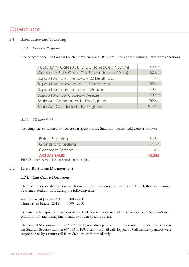## **Operations**

#### **2.1 Attendance and Ticketing**

#### **2.1.1. Concert Program**

The concert concluded within the stadium's curfew of 10:30pm. The concert running times were as follows:

| Public Entry Gates A, B, D & E (scheduled 4:00pm) | $4:20$ pm  |
|---------------------------------------------------|------------|
| Corporate Entry Gates C & F (scheduled 4:00pm)    | $4:20$ pm  |
| Support Act commenced - DZ Deathrays              | $5:10$ pm  |
| Support Act concluded - DZ Deathrays              | $5:30$ pm  |
| Support Act commenced - Weezer                    | $6:00$ pm  |
| Support Act concluded - Weezer                    | $7:00$ pm  |
| Main Act Commenced - Foo Fighters                 | $7:30$ pm  |
| Main Act Concluded - Foo Fighters                 | $10:30$ pm |

#### **2.1.2. Tickets Sold**

Ticketing was conducted by Ticketek as agent for the Stadium. Tickets sold were as follows:

| Field – Standing    | 16,000 |
|---------------------|--------|
| Grandstand seating  | 23,725 |
| Corporate Seating   | 660    |
| <b>ACTUAL SALES</b> | 40.385 |

**NOTE**: There were 1,195 no-shows on the night.

#### **2.2 Local Residents Management**

#### **2.2.1. Call Centre Operations**

The Stadium established a Concert Hotline for local residents and businesses. The Hotline was manned by trained Stadium staff during the following times:

Wednesday 24 January 2018 0700 - 2200 Thursday 25 January 2018 0900 - 2330

To assist with major complaints or issues, Call Centre operators had direct access to the Stadium's main control room and management team to obtain specific advice.

The general Stadium number (07 3331 5000) was also operational during normal business hours as was the Stadium Security number (07 3331 5168) after hours. All calls logged by Call Centre operators were responded to by a return call from Stadium staff immediately.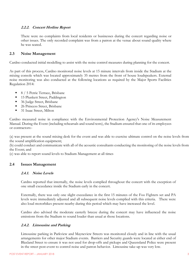#### **2.2.2. Concert Hotline Report**

There were no complaints from local residents or businesses during the concert regarding noise or other issues. The only recorded complaint was from a patron at the venue about sound quality where he was seated.

#### **2.3 Noise Management**

Cardno conducted initial modelling to assist with the noise control measures during planning for the concert.

As part of this process, Cardno monitored noise levels at 15 minute intervals from inside the Stadium at the mixing console which was located approximately 35 metres from the front of house loudspeakers. External noise monitoring was also conducted at the following locations as required by the Major Sports Facilities Regulation 2014:

- 8 / 5 Petrie Terrace, Brisbane
- 15 Plunkett Street, Paddington
- 36 Judge Street, Brisbane
- 26 Princess Street, Brisbane
- 31 Isaac Street, Milton

Cardno measured noise in compliance with the Environmental Protection Agency's Noise Measurement Manual. During the Event (including rehearsals and sound tests), the Stadium ensured that one of its employees or contractors:-

(a) was present at the sound mixing desk for the event and was able to exercise ultimate control on the noise levels from the sound amplification equipment;

(b) could conduct and communicate with all of the acoustic consultants conducting the monitoring of the noise levels from the Event; and

(c) was able to report sound levels to Stadium Management at all times

#### **2.4 Issues Management**

#### **2.4.1. Noise Levels**

Cardno reported that internally, the noise levels complied throughout the concert with the exception of one small exceedance inside the Stadium early in the concert.

Externally, there was only one slight exceedance in the first 15 minutes of the Foo Fighters set and PA levels were immediately adjusted and all subsequent noise levels complied with this criteria. There were also loud motorbikes present nearby during this period which may have increased the level.

Cardno also advised the moderate easterly breeze during the concert may have influenced the noise emissions from the Stadium to sound louder than usual at those locations.

#### **2.4.2. Limousine and Parking**

Limousine parking in Parkview and Mayneview Streets was monitored closely and in line with the usual arrangements for other major Stadium events. Barriers and Security guards were located at either end of Blaxland Street to ensure it was not used for drop-offs and pickups and Queensland Police were present in the street post-event to control noise and patron behavior. Limousine take-up was very low.